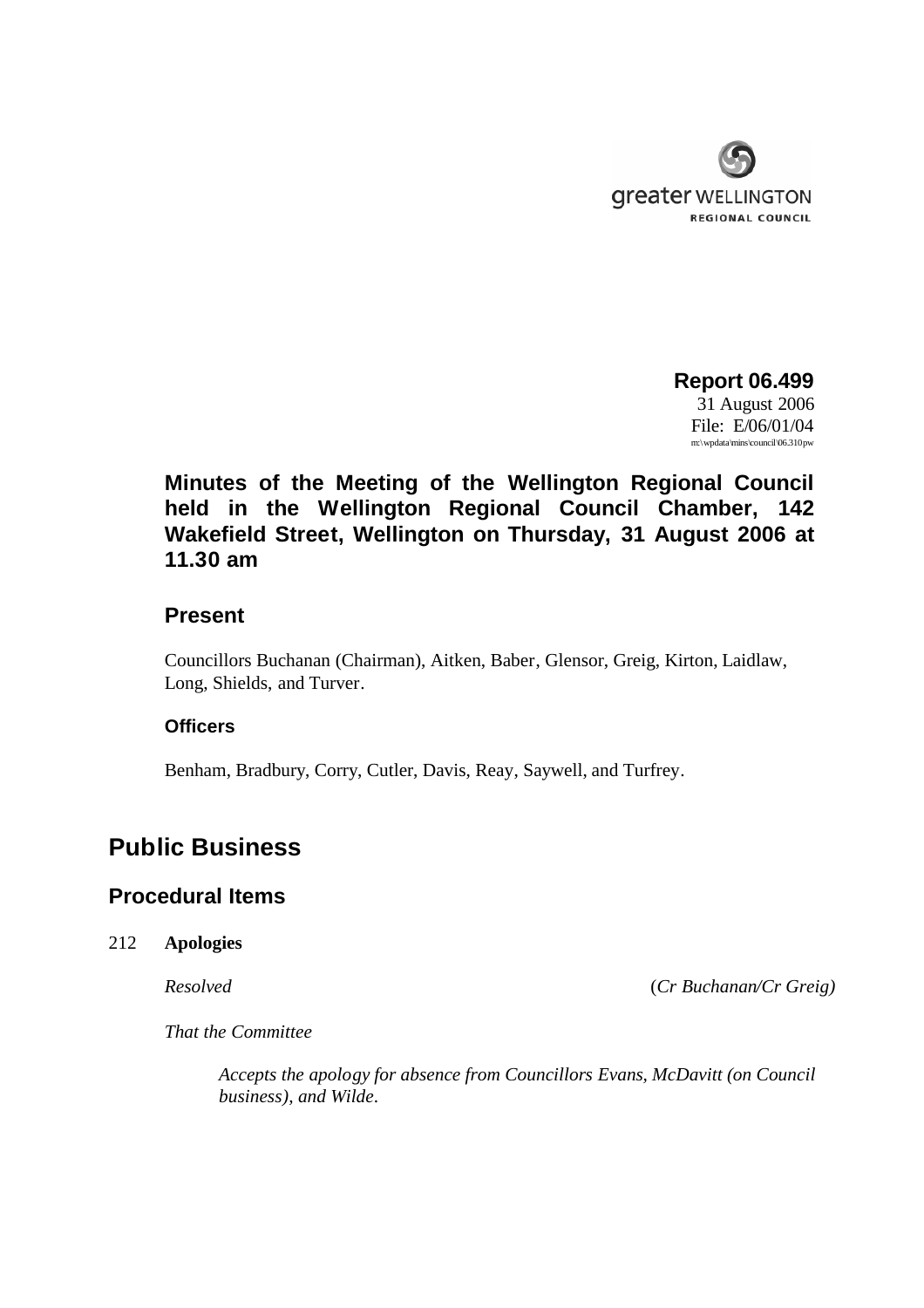

**Report 06.499** 31 August 2006 File: E/06/01/04 m:\wpdata\mins\council\06.310pw

**Minutes of the Meeting of the Wellington Regional Council held in the Wellington Regional Council Chamber, 142 Wakefield Street, Wellington on Thursday, 31 August 2006 at 11.30 am**

## **Present**

Councillors Buchanan (Chairman), Aitken, Baber, Glensor, Greig, Kirton, Laidlaw, Long, Shields, and Turver.

### **Officers**

Benham, Bradbury, Corry, Cutler, Davis, Reay, Saywell, and Turfrey.

# **Public Business**

## **Procedural Items**

#### 212 **Apologies**

*Resolved* (*Cr Buchanan/Cr Greig)*

*That the Committee*

*Accepts the apology for absence from Councillors Evans, McDavitt (on Council business), and Wilde.*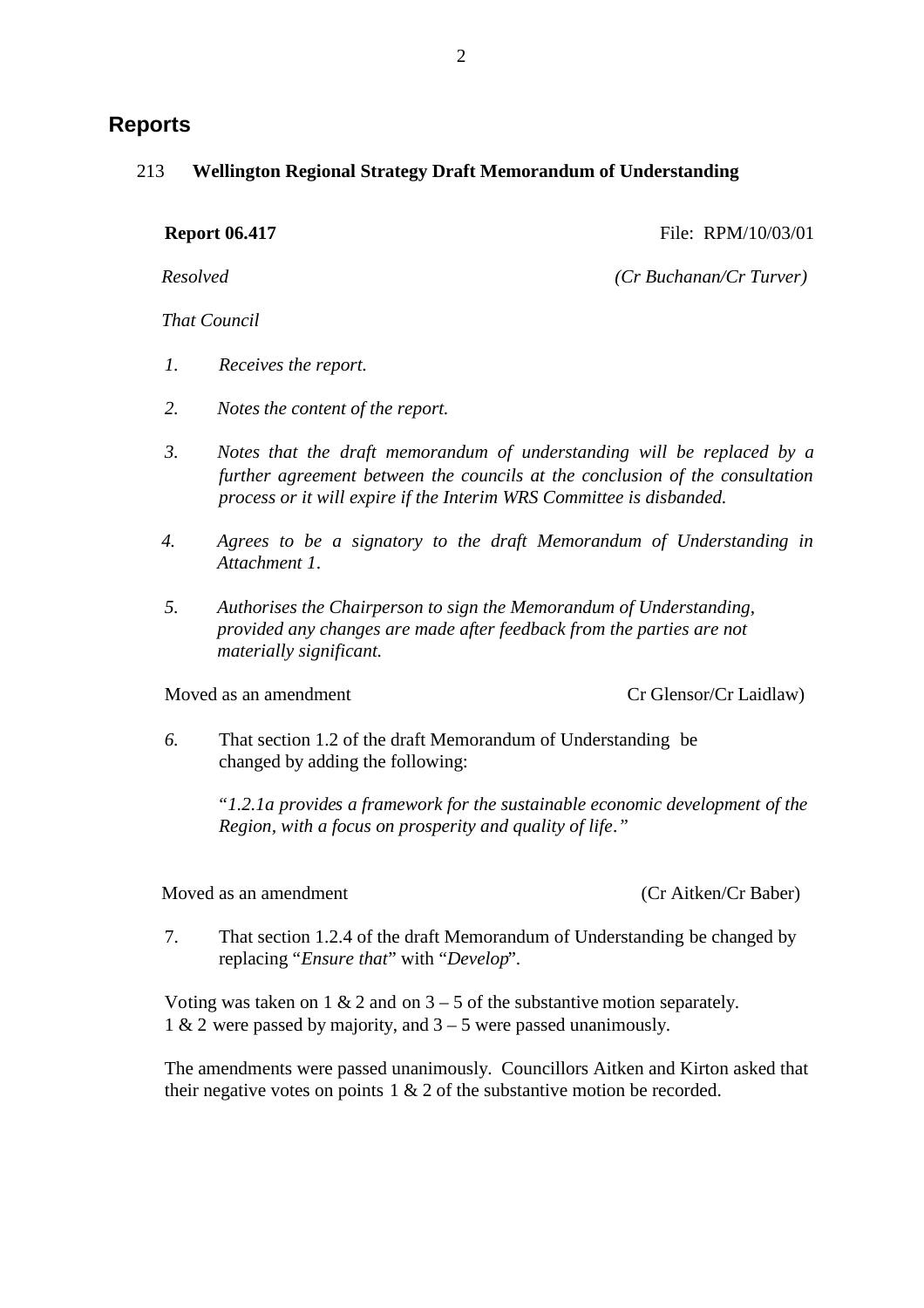# **Reports**

#### 213 **Wellington Regional Strategy Draft Memorandum of Understanding**

**Report 06.417** File: RPM/10/03/01

*Resolved (Cr Buchanan/Cr Turver)*

*That Council*

- *1. Receives the report.*
- *2. Notes the content of the report.*
- *3. Notes that the draft memorandum of understanding will be replaced by a further agreement between the councils at the conclusion of the consultation process or it will expire if the Interim WRS Committee is disbanded.*
- *4. Agrees to be a signatory to the draft Memorandum of Understanding in Attachment 1.*
- *5. Authorises the Chairperson to sign the Memorandum of Understanding, provided any changes are made after feedback from the parties are not materially significant.*

Moved as an amendment Cr Glensor/Cr Laidlaw)

*6.* That section 1.2 of the draft Memorandum of Understanding be changed by adding the following:

> *"1.2.1a provides a framework for the sustainable economic development of the Region, with a focus on prosperity and quality of life."*

Moved as an amendment and the contract of the Cr Aitken/Cr Baber)

7. That section 1.2.4 of the draft Memorandum of Understanding be changed by replacing "*Ensure that*" with "*Develop*".

Voting was taken on  $1 \& 2$  and on  $3 - 5$  of the substantive motion separately. 1 & 2 were passed by majority, and 3 – 5 were passed unanimously.

The amendments were passed unanimously. Councillors Aitken and Kirton asked that their negative votes on points  $1 \& 2$  of the substantive motion be recorded.

2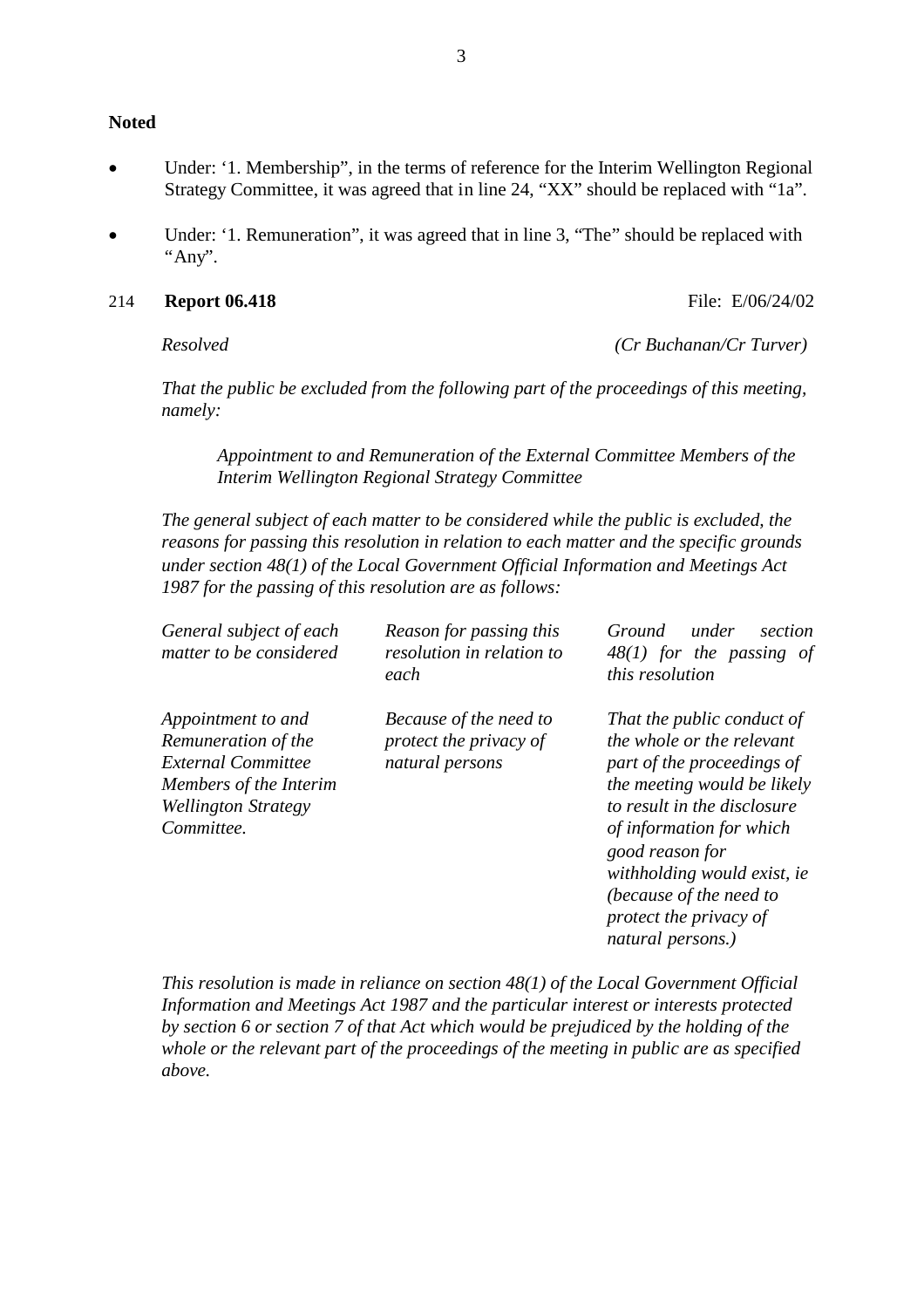#### **Noted**

- Under: '1. Membership", in the terms of reference for the Interim Wellington Regional Strategy Committee, it was agreed that in line 24, "XX" should be replaced with "1a".
- Under: '1. Remuneration", it was agreed that in line 3, "The" should be replaced with "Any".

#### 214 **Report 06.418** File: E/06/24/02

*Resolved (Cr Buchanan/Cr Turver)*

*That the public be excluded from the following part of the proceedings of this meeting, namely:*

*Appointment to and Remuneration of the External Committee Members of the Interim Wellington Regional Strategy Committee*

*The general subject of each matter to be considered while the public is excluded, the reasons for passing this resolution in relation to each matter and the specific grounds under section 48(1) of the Local Government Official Information and Meetings Act 1987 for the passing of this resolution are as follows:*

| General subject of each<br>matter to be considered                                                                                           | Reason for passing this<br>resolution in relation to<br>each        | under<br>Ground<br>section<br>$48(1)$ for the passing of<br>this resolution                                                                                                                                                                                                                                 |
|----------------------------------------------------------------------------------------------------------------------------------------------|---------------------------------------------------------------------|-------------------------------------------------------------------------------------------------------------------------------------------------------------------------------------------------------------------------------------------------------------------------------------------------------------|
| Appointment to and<br>Remuneration of the<br><b>External Committee</b><br>Members of the Interim<br><b>Wellington Strategy</b><br>Committee. | Because of the need to<br>protect the privacy of<br>natural persons | That the public conduct of<br>the whole or the relevant<br>part of the proceedings of<br>the meeting would be likely<br>to result in the disclosure<br>of information for which<br>good reason for<br>withholding would exist, ie<br>(because of the need to<br>protect the privacy of<br>natural persons.) |

*This resolution is made in reliance on section 48(1) of the Local Government Official Information and Meetings Act 1987 and the particular interest or interests protected by section 6 or section 7 of that Act which would be prejudiced by the holding of the whole or the relevant part of the proceedings of the meeting in public are as specified above.*